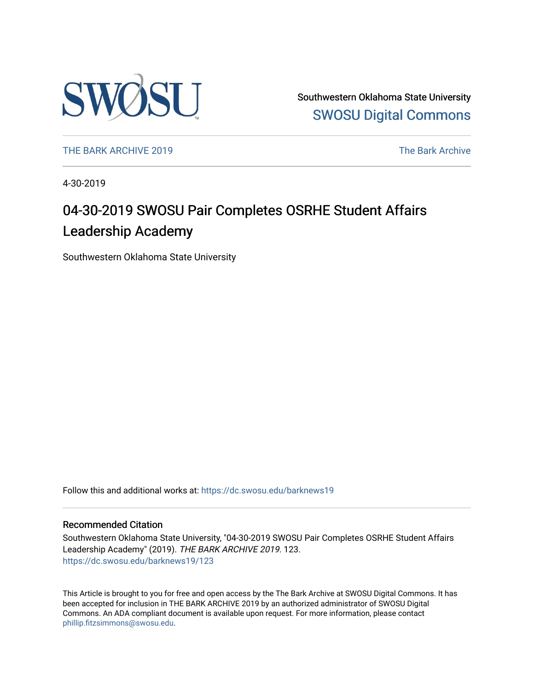

Southwestern Oklahoma State University [SWOSU Digital Commons](https://dc.swosu.edu/) 

[THE BARK ARCHIVE 2019](https://dc.swosu.edu/barknews19) The Bark Archive

4-30-2019

## 04-30-2019 SWOSU Pair Completes OSRHE Student Affairs Leadership Academy

Southwestern Oklahoma State University

Follow this and additional works at: [https://dc.swosu.edu/barknews19](https://dc.swosu.edu/barknews19?utm_source=dc.swosu.edu%2Fbarknews19%2F123&utm_medium=PDF&utm_campaign=PDFCoverPages)

#### Recommended Citation

Southwestern Oklahoma State University, "04-30-2019 SWOSU Pair Completes OSRHE Student Affairs Leadership Academy" (2019). THE BARK ARCHIVE 2019. 123. [https://dc.swosu.edu/barknews19/123](https://dc.swosu.edu/barknews19/123?utm_source=dc.swosu.edu%2Fbarknews19%2F123&utm_medium=PDF&utm_campaign=PDFCoverPages)

This Article is brought to you for free and open access by the The Bark Archive at SWOSU Digital Commons. It has been accepted for inclusion in THE BARK ARCHIVE 2019 by an authorized administrator of SWOSU Digital Commons. An ADA compliant document is available upon request. For more information, please contact [phillip.fitzsimmons@swosu.edu](mailto:phillip.fitzsimmons@swosu.edu).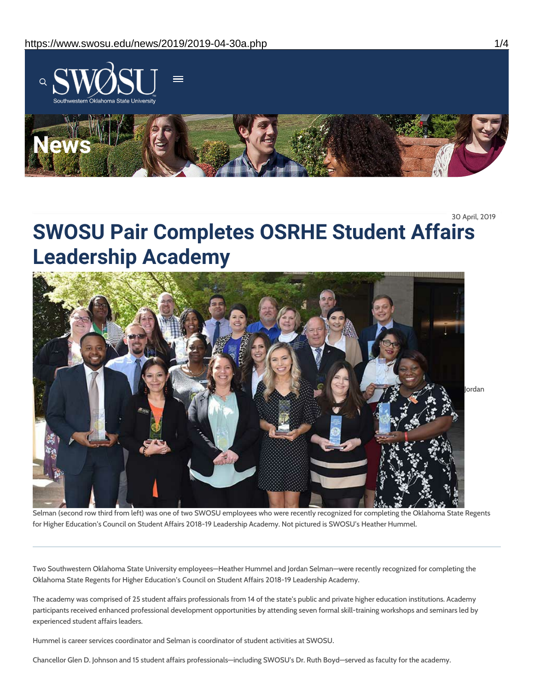

30 April, 2019

# **SWOSU Pair Completes OSRHE Student Affairs Leadership Academy**



Selman (second row third from left) was one of two SWOSU employees who were recently recognized for completing the Oklahoma State Regents for Higher Education's Council on Student Affairs 2018-19 Leadership Academy. Not pictured is SWOSU's Heather Hummel.

Two Southwestern Oklahoma State University employees—Heather Hummel and Jordan Selman—were recently recognized for completing the Oklahoma State Regents for Higher Education's Council on Student Affairs 2018-19 Leadership Academy.

The academy was comprised of 25 student affairs professionals from 14 of the state's public and private higher education institutions. Academy participants received enhanced professional development opportunities by attending seven formal skill-training workshops and seminars led by experienced student affairs leaders.

Hummel is career services coordinator and Selman is coordinator of student activities at SWOSU.

Chancellor Glen D. Johnson and 15 student affairs professionals—including SWOSU's Dr. Ruth Boyd—served as faculty for the academy.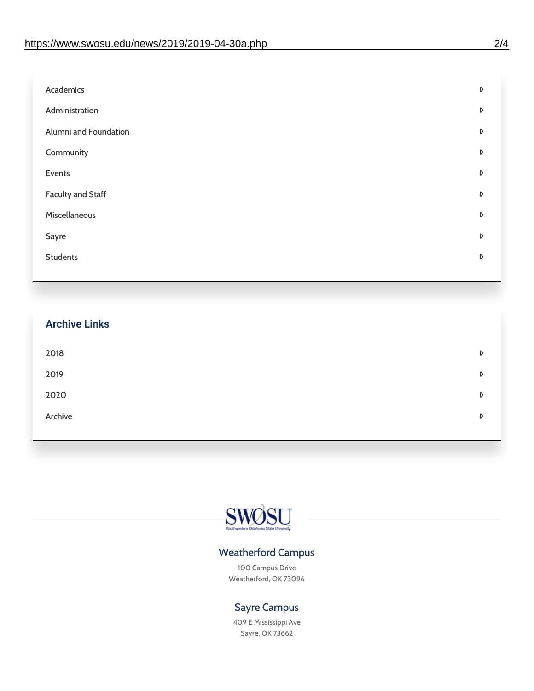| Academics                | D |
|--------------------------|---|
| Administration           | D |
| Alumni and Foundation    | D |
| Community                | D |
| Events                   | D |
| <b>Faculty and Staff</b> | D |
| Miscellaneous            | D |
| Sayre                    | D |
| <b>Students</b>          | D |
|                          |   |

| <b>Archive Links</b> |   |
|----------------------|---|
| 2018                 | D |
| 2019                 | D |
| 2020                 | D |
| Archive              | D |



### Weatherford Campus

100 Campus Drive Weatherford, OK 73096

### Sayre Campus

409 E Mississippi Ave Sayre, OK 73662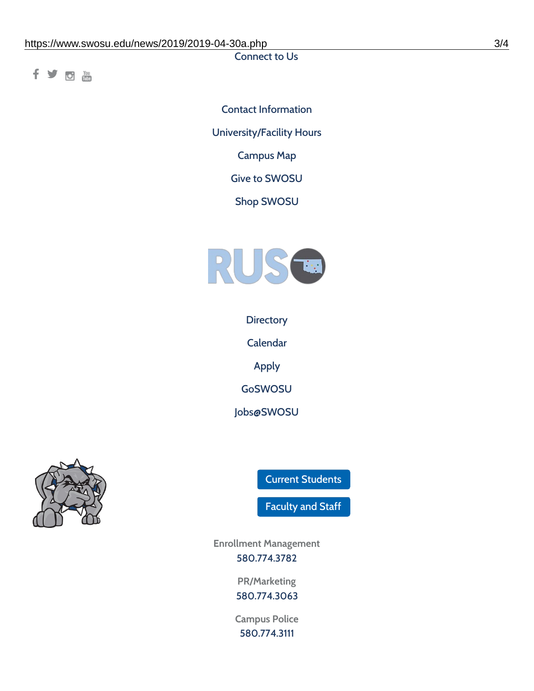Connect to Us

fyom

Contact [Information](https://www.swosu.edu/about/contact.php) [University/Facility](https://www.swosu.edu/about/operating-hours.php) Hours [Campus](https://map.concept3d.com/?id=768#!ct/10964,10214,10213,10212,10205,10204,10203,10202,10136,10129,10128,0,31226,10130,10201,10641,0) Map Give to [SWOSU](https://standingfirmly.com/donate) Shop [SWOSU](https://shopswosu.merchorders.com/)



**[Directory](https://www.swosu.edu/directory/index.php)** 

[Calendar](https://eventpublisher.dudesolutions.com/swosu/)

[Apply](https://www.swosu.edu/admissions/apply-to-swosu.php)

[GoSWOSU](https://qlsso.quicklaunchsso.com/home/1267)

[Jobs@SWOSU](https://swosu.csod.com/ux/ats/careersite/1/home?c=swosu)



Current [Students](https://bulldog.swosu.edu/index.php)

[Faculty](https://bulldog.swosu.edu/faculty-staff/index.php) and Staff

**Enrollment Management** [580.774.3782](tel:5807743782)

> **PR/Marketing** [580.774.3063](tel:5807743063)

**Campus Police** [580.774.3111](tel:5807743111)